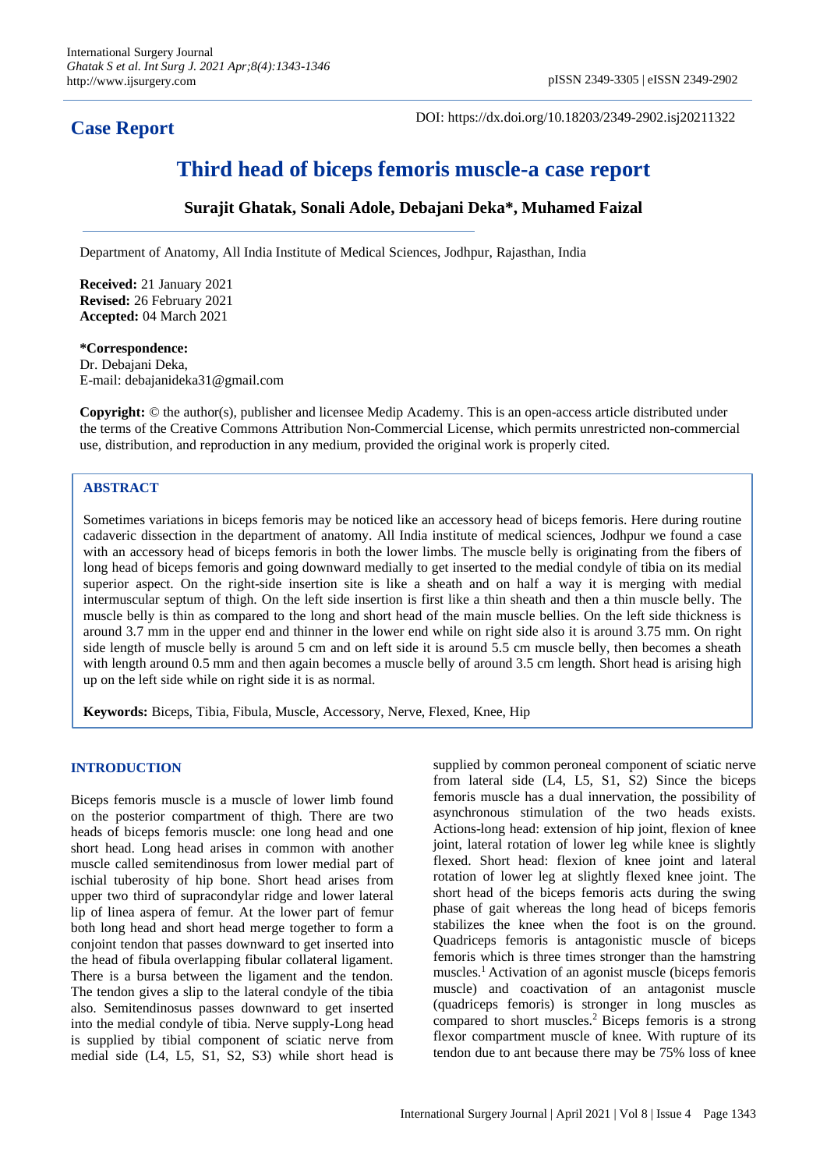## **Case Report**

DOI: https://dx.doi.org/10.18203/2349-2902.isj20211322

# **Third head of biceps femoris muscle-a case report**

## **Surajit Ghatak, Sonali Adole, Debajani Deka\*, Muhamed Faizal**

Department of Anatomy, All India Institute of Medical Sciences, Jodhpur, Rajasthan, India

**Received:** 21 January 2021 **Revised:** 26 February 2021 **Accepted:** 04 March 2021

## **\*Correspondence:** Dr. Debajani Deka,

E-mail: debajanideka31@gmail.com

**Copyright:** © the author(s), publisher and licensee Medip Academy. This is an open-access article distributed under the terms of the Creative Commons Attribution Non-Commercial License, which permits unrestricted non-commercial use, distribution, and reproduction in any medium, provided the original work is properly cited.

## **ABSTRACT**

Sometimes variations in biceps femoris may be noticed like an accessory head of biceps femoris. Here during routine cadaveric dissection in the department of anatomy. All India institute of medical sciences, Jodhpur we found a case with an accessory head of biceps femoris in both the lower limbs. The muscle belly is originating from the fibers of long head of biceps femoris and going downward medially to get inserted to the medial condyle of tibia on its medial superior aspect. On the right-side insertion site is like a sheath and on half a way it is merging with medial intermuscular septum of thigh. On the left side insertion is first like a thin sheath and then a thin muscle belly. The muscle belly is thin as compared to the long and short head of the main muscle bellies. On the left side thickness is around 3.7 mm in the upper end and thinner in the lower end while on right side also it is around 3.75 mm. On right side length of muscle belly is around 5 cm and on left side it is around 5.5 cm muscle belly, then becomes a sheath with length around 0.5 mm and then again becomes a muscle belly of around 3.5 cm length. Short head is arising high up on the left side while on right side it is as normal.

**Keywords:** Biceps, Tibia, Fibula, Muscle, Accessory, Nerve, Flexed, Knee, Hip

#### **INTRODUCTION**

Biceps femoris muscle is a muscle of lower limb found on the posterior compartment of thigh. There are two heads of biceps femoris muscle: one long head and one short head. Long head arises in common with another muscle called semitendinosus from lower medial part of ischial tuberosity of hip bone. Short head arises from upper two third of supracondylar ridge and lower lateral lip of linea aspera of femur. At the lower part of femur both long head and short head merge together to form a conjoint tendon that passes downward to get inserted into the head of fibula overlapping fibular collateral ligament. There is a bursa between the ligament and the tendon. The tendon gives a slip to the lateral condyle of the tibia also. Semitendinosus passes downward to get inserted into the medial condyle of tibia. Nerve supply-Long head is supplied by tibial component of sciatic nerve from medial side (L4, L5, S1, S2, S3) while short head is supplied by common peroneal component of sciatic nerve from lateral side (L4, L5, S1, S2) Since the biceps femoris muscle has a dual innervation, the possibility of asynchronous stimulation of the two heads exists. Actions-long head: extension of hip joint, flexion of knee joint, lateral rotation of lower leg while knee is slightly flexed. Short head: flexion of knee joint and lateral rotation of lower leg at slightly flexed knee joint. The short head of the biceps femoris acts during the swing phase of gait whereas the long head of biceps femoris stabilizes the knee when the foot is on the ground. Quadriceps femoris is antagonistic muscle of biceps femoris which is three times stronger than the hamstring muscles.<sup>1</sup> Activation of an agonist muscle (biceps femoris muscle) and coactivation of an antagonist muscle (quadriceps femoris) is stronger in long muscles as compared to short muscles.<sup>2</sup> Biceps femoris is a strong flexor compartment muscle of knee. With rupture of its tendon due to ant because there may be 75% loss of knee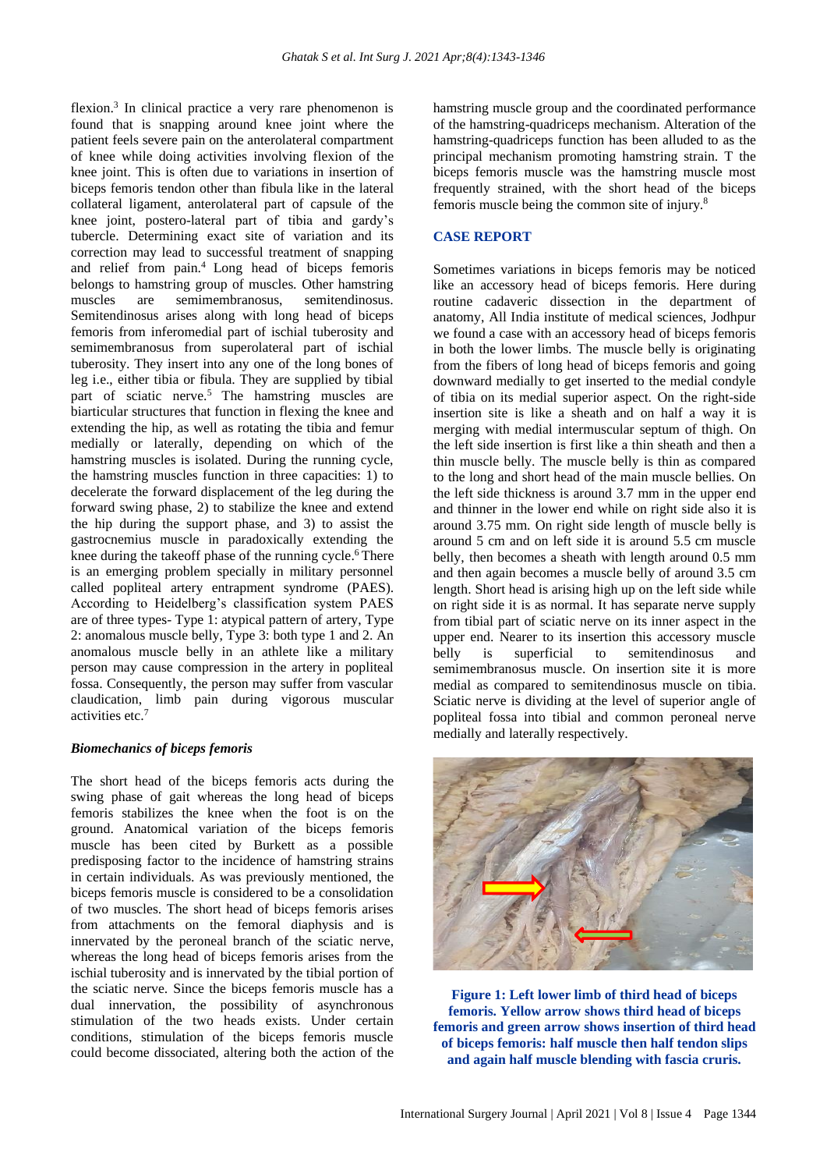flexion.<sup>3</sup> In clinical practice a very rare phenomenon is found that is snapping around knee joint where the patient feels severe pain on the anterolateral compartment of knee while doing activities involving flexion of the knee joint. This is often due to variations in insertion of biceps femoris tendon other than fibula like in the lateral collateral ligament, anterolateral part of capsule of the knee joint, postero-lateral part of tibia and gardy's tubercle. Determining exact site of variation and its correction may lead to successful treatment of snapping and relief from pain.<sup>4</sup> Long head of biceps femoris belongs to hamstring group of muscles. Other hamstring muscles are semimembranosus, semitendinosus. Semitendinosus arises along with long head of biceps femoris from inferomedial part of ischial tuberosity and semimembranosus from superolateral part of ischial tuberosity. They insert into any one of the long bones of leg i.e., either tibia or fibula. They are supplied by tibial part of sciatic nerve.<sup>5</sup> The hamstring muscles are biarticular structures that function in flexing the knee and extending the hip, as well as rotating the tibia and femur medially or laterally, depending on which of the hamstring muscles is isolated. During the running cycle, the hamstring muscles function in three capacities: 1) to decelerate the forward displacement of the leg during the forward swing phase, 2) to stabilize the knee and extend the hip during the support phase, and 3) to assist the gastrocnemius muscle in paradoxically extending the knee during the takeoff phase of the running cycle.<sup>6</sup> There is an emerging problem specially in military personnel called popliteal artery entrapment syndrome (PAES). According to Heidelberg's classification system PAES are of three types- Type 1: atypical pattern of artery, Type 2: anomalous muscle belly, Type 3: both type 1 and 2. An anomalous muscle belly in an athlete like a military person may cause compression in the artery in popliteal fossa. Consequently, the person may suffer from vascular claudication, limb pain during vigorous muscular activities etc.<sup>7</sup>

#### *Biomechanics of biceps femoris*

The short head of the biceps femoris acts during the swing phase of gait whereas the long head of biceps femoris stabilizes the knee when the foot is on the ground. Anatomical variation of the biceps femoris muscle has been cited by Burkett as a possible predisposing factor to the incidence of hamstring strains in certain individuals. As was previously mentioned, the biceps femoris muscle is considered to be a consolidation of two muscles. The short head of biceps femoris arises from attachments on the femoral diaphysis and is innervated by the peroneal branch of the sciatic nerve, whereas the long head of biceps femoris arises from the ischial tuberosity and is innervated by the tibial portion of the sciatic nerve. Since the biceps femoris muscle has a dual innervation, the possibility of asynchronous stimulation of the two heads exists. Under certain conditions, stimulation of the biceps femoris muscle could become dissociated, altering both the action of the hamstring muscle group and the coordinated performance of the hamstring-quadriceps mechanism. Alteration of the hamstring-quadriceps function has been alluded to as the principal mechanism promoting hamstring strain. T the biceps femoris muscle was the hamstring muscle most frequently strained, with the short head of the biceps femoris muscle being the common site of injury.<sup>8</sup>

#### **CASE REPORT**

Sometimes variations in biceps femoris may be noticed like an accessory head of biceps femoris. Here during routine cadaveric dissection in the department of anatomy, All India institute of medical sciences, Jodhpur we found a case with an accessory head of biceps femoris in both the lower limbs. The muscle belly is originating from the fibers of long head of biceps femoris and going downward medially to get inserted to the medial condyle of tibia on its medial superior aspect. On the right-side insertion site is like a sheath and on half a way it is merging with medial intermuscular septum of thigh. On the left side insertion is first like a thin sheath and then a thin muscle belly. The muscle belly is thin as compared to the long and short head of the main muscle bellies. On the left side thickness is around 3.7 mm in the upper end and thinner in the lower end while on right side also it is around 3.75 mm. On right side length of muscle belly is around 5 cm and on left side it is around 5.5 cm muscle belly, then becomes a sheath with length around 0.5 mm and then again becomes a muscle belly of around 3.5 cm length. Short head is arising high up on the left side while on right side it is as normal. It has separate nerve supply from tibial part of sciatic nerve on its inner aspect in the upper end. Nearer to its insertion this accessory muscle belly is superficial to semitendinosus and semimembranosus muscle. On insertion site it is more medial as compared to semitendinosus muscle on tibia. Sciatic nerve is dividing at the level of superior angle of popliteal fossa into tibial and common peroneal nerve medially and laterally respectively.



**Figure 1: Left lower limb of third head of biceps femoris. Yellow arrow shows third head of biceps femoris and green arrow shows insertion of third head of biceps femoris: half muscle then half tendon slips and again half muscle blending with fascia cruris.**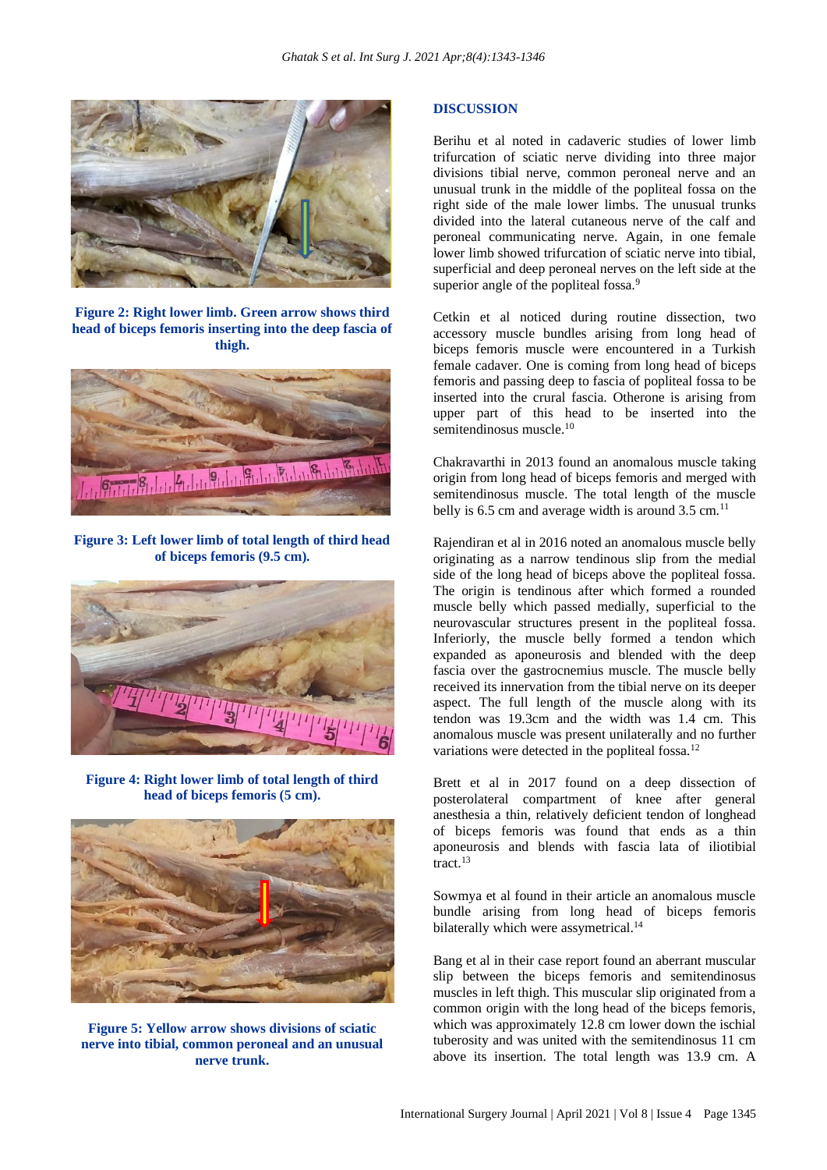

**Figure 2: Right lower limb. Green arrow shows third head of biceps femoris inserting into the deep fascia of thigh.**



**Figure 3: Left lower limb of total length of third head of biceps femoris (9.5 cm).**



**Figure 4: Right lower limb of total length of third head of biceps femoris (5 cm).**



**Figure 5: Yellow arrow shows divisions of sciatic nerve into tibial, common peroneal and an unusual nerve trunk.**

#### **DISCUSSION**

Berihu et al noted in cadaveric studies of lower limb trifurcation of sciatic nerve dividing into three major divisions tibial nerve, common peroneal nerve and an unusual trunk in the middle of the popliteal fossa on the right side of the male lower limbs. The unusual trunks divided into the lateral cutaneous nerve of the calf and peroneal communicating nerve. Again, in one female lower limb showed trifurcation of sciatic nerve into tibial, superficial and deep peroneal nerves on the left side at the superior angle of the popliteal fossa.<sup>9</sup>

Cetkin et al noticed during routine dissection, two accessory muscle bundles arising from long head of biceps femoris muscle were encountered in a Turkish female cadaver. One is coming from long head of biceps femoris and passing deep to fascia of popliteal fossa to be inserted into the crural fascia. Otherone is arising from upper part of this head to be inserted into the semitendinosus muscle.<sup>10</sup>

Chakravarthi in 2013 found an anomalous muscle taking origin from long head of biceps femoris and merged with semitendinosus muscle. The total length of the muscle belly is  $6.5$  cm and average width is around  $3.5$  cm.<sup>11</sup>

Rajendiran et al in 2016 noted an anomalous muscle belly originating as a narrow tendinous slip from the medial side of the long head of biceps above the popliteal fossa. The origin is tendinous after which formed a rounded muscle belly which passed medially, superficial to the neurovascular structures present in the popliteal fossa. Inferiorly, the muscle belly formed a tendon which expanded as aponeurosis and blended with the deep fascia over the gastrocnemius muscle. The muscle belly received its innervation from the tibial nerve on its deeper aspect. The full length of the muscle along with its tendon was 19.3cm and the width was 1.4 cm. This anomalous muscle was present unilaterally and no further variations were detected in the popliteal fossa.<sup>12</sup>

Brett et al in 2017 found on a deep dissection of posterolateral compartment of knee after general anesthesia a thin, relatively deficient tendon of longhead of biceps femoris was found that ends as a thin aponeurosis and blends with fascia lata of iliotibial tract<sup>13</sup>

Sowmya et al found in their article an anomalous muscle bundle arising from long head of biceps femoris bilaterally which were assymetrical.<sup>14</sup>

Bang et al in their case report found an aberrant muscular slip between the biceps femoris and semitendinosus muscles in left thigh. This muscular slip originated from a common origin with the long head of the biceps femoris, which was approximately 12.8 cm lower down the ischial tuberosity and was united with the semitendinosus 11 cm above its insertion. The total length was 13.9 cm. A